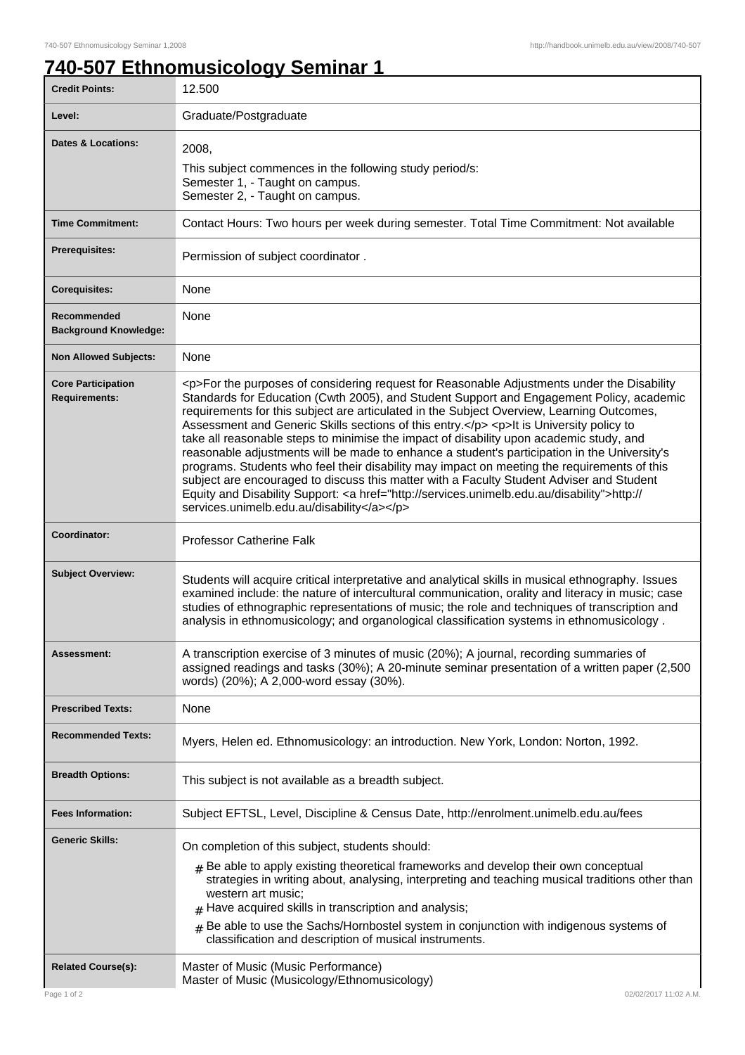## **740-507 Ethnomusicology Seminar 1**

| <b>Credit Points:</b>                             | 12.500                                                                                                                                                                                                                                                                                                                                                                                                                                                                                                                                                                                                                                                                                                                                                                                                                                                                                                                       |
|---------------------------------------------------|------------------------------------------------------------------------------------------------------------------------------------------------------------------------------------------------------------------------------------------------------------------------------------------------------------------------------------------------------------------------------------------------------------------------------------------------------------------------------------------------------------------------------------------------------------------------------------------------------------------------------------------------------------------------------------------------------------------------------------------------------------------------------------------------------------------------------------------------------------------------------------------------------------------------------|
| Level:                                            | Graduate/Postgraduate                                                                                                                                                                                                                                                                                                                                                                                                                                                                                                                                                                                                                                                                                                                                                                                                                                                                                                        |
| <b>Dates &amp; Locations:</b>                     | 2008,<br>This subject commences in the following study period/s:<br>Semester 1, - Taught on campus.<br>Semester 2, - Taught on campus.                                                                                                                                                                                                                                                                                                                                                                                                                                                                                                                                                                                                                                                                                                                                                                                       |
| <b>Time Commitment:</b>                           | Contact Hours: Two hours per week during semester. Total Time Commitment: Not available                                                                                                                                                                                                                                                                                                                                                                                                                                                                                                                                                                                                                                                                                                                                                                                                                                      |
| <b>Prerequisites:</b>                             | Permission of subject coordinator.                                                                                                                                                                                                                                                                                                                                                                                                                                                                                                                                                                                                                                                                                                                                                                                                                                                                                           |
| <b>Corequisites:</b>                              | None                                                                                                                                                                                                                                                                                                                                                                                                                                                                                                                                                                                                                                                                                                                                                                                                                                                                                                                         |
| Recommended<br><b>Background Knowledge:</b>       | None                                                                                                                                                                                                                                                                                                                                                                                                                                                                                                                                                                                                                                                                                                                                                                                                                                                                                                                         |
| <b>Non Allowed Subjects:</b>                      | None                                                                                                                                                                                                                                                                                                                                                                                                                                                                                                                                                                                                                                                                                                                                                                                                                                                                                                                         |
| <b>Core Participation</b><br><b>Requirements:</b> | <p>For the purposes of considering request for Reasonable Adjustments under the Disability<br/>Standards for Education (Cwth 2005), and Student Support and Engagement Policy, academic<br/>requirements for this subject are articulated in the Subject Overview, Learning Outcomes,<br/>Assessment and Generic Skills sections of this entry.</p> <p>lt is University policy to<br/>take all reasonable steps to minimise the impact of disability upon academic study, and<br/>reasonable adjustments will be made to enhance a student's participation in the University's<br/>programs. Students who feel their disability may impact on meeting the requirements of this<br/>subject are encouraged to discuss this matter with a Faculty Student Adviser and Student<br/>Equity and Disability Support: &lt; a href="http://services.unimelb.edu.au/disability"&gt;http://<br/>services.unimelb.edu.au/disability</p> |
| Coordinator:                                      | <b>Professor Catherine Falk</b>                                                                                                                                                                                                                                                                                                                                                                                                                                                                                                                                                                                                                                                                                                                                                                                                                                                                                              |
| <b>Subject Overview:</b>                          | Students will acquire critical interpretative and analytical skills in musical ethnography. Issues<br>examined include: the nature of intercultural communication, orality and literacy in music; case<br>studies of ethnographic representations of music; the role and techniques of transcription and<br>analysis in ethnomusicology; and organological classification systems in ethnomusicology.                                                                                                                                                                                                                                                                                                                                                                                                                                                                                                                        |
| Assessment:                                       | A transcription exercise of 3 minutes of music (20%); A journal, recording summaries of<br>assigned readings and tasks (30%); A 20-minute seminar presentation of a written paper (2,500<br>words) (20%); A 2,000-word essay (30%).                                                                                                                                                                                                                                                                                                                                                                                                                                                                                                                                                                                                                                                                                          |
| <b>Prescribed Texts:</b>                          | None                                                                                                                                                                                                                                                                                                                                                                                                                                                                                                                                                                                                                                                                                                                                                                                                                                                                                                                         |
| <b>Recommended Texts:</b>                         | Myers, Helen ed. Ethnomusicology: an introduction. New York, London: Norton, 1992.                                                                                                                                                                                                                                                                                                                                                                                                                                                                                                                                                                                                                                                                                                                                                                                                                                           |
| <b>Breadth Options:</b>                           | This subject is not available as a breadth subject.                                                                                                                                                                                                                                                                                                                                                                                                                                                                                                                                                                                                                                                                                                                                                                                                                                                                          |
| <b>Fees Information:</b>                          | Subject EFTSL, Level, Discipline & Census Date, http://enrolment.unimelb.edu.au/fees                                                                                                                                                                                                                                                                                                                                                                                                                                                                                                                                                                                                                                                                                                                                                                                                                                         |
| <b>Generic Skills:</b>                            | On completion of this subject, students should:                                                                                                                                                                                                                                                                                                                                                                                                                                                                                                                                                                                                                                                                                                                                                                                                                                                                              |
|                                                   | $#$ Be able to apply existing theoretical frameworks and develop their own conceptual<br>strategies in writing about, analysing, interpreting and teaching musical traditions other than<br>western art music;<br>Have acquired skills in transcription and analysis;                                                                                                                                                                                                                                                                                                                                                                                                                                                                                                                                                                                                                                                        |
|                                                   | Be able to use the Sachs/Hornbostel system in conjunction with indigenous systems of<br>#<br>classification and description of musical instruments.                                                                                                                                                                                                                                                                                                                                                                                                                                                                                                                                                                                                                                                                                                                                                                          |
| <b>Related Course(s):</b>                         | Master of Music (Music Performance)<br>Master of Music (Musicology/Ethnomusicology)                                                                                                                                                                                                                                                                                                                                                                                                                                                                                                                                                                                                                                                                                                                                                                                                                                          |
| Page 1 of 2                                       | 02/02/2017 11:02 A.M.                                                                                                                                                                                                                                                                                                                                                                                                                                                                                                                                                                                                                                                                                                                                                                                                                                                                                                        |